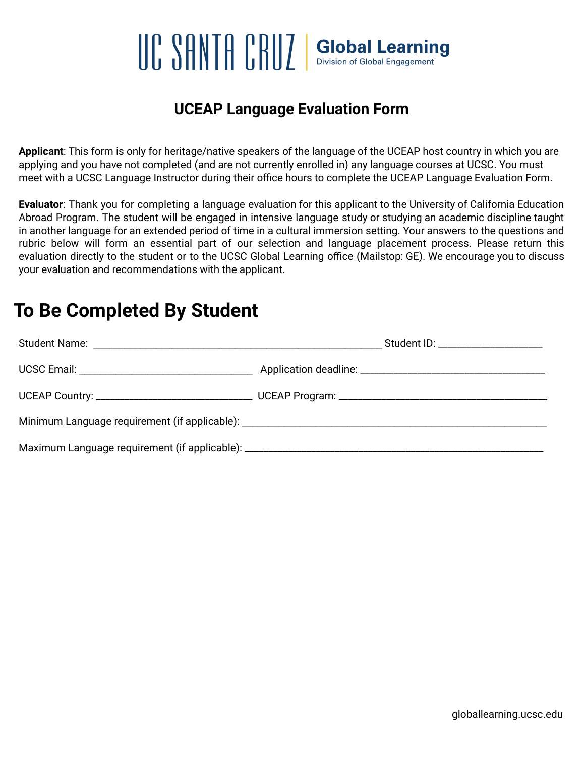# $\left[\left[\begin{array}{cc} \cap & \cap \\ \cap & \cap \end{array}\right]\right] \left[\begin{array}{cc} \cap & \cap \\ \cap & \cap \end{array}\right]$  Global Learning

### **UCEAP Language Evaluation Form**

**Applicant**: This form is only for heritage/native speakers of the language of the UCEAP host country in which you are applying and you have not completed (and are not currently enrolled in) any language courses at UCSC. You must meet with a UCSC Language Instructor during their office hours to complete the UCEAP Language Evaluation Form.

**Evaluator**: Thank you for completing a language evaluation for this applicant to the University of California Education Abroad Program. The student will be engaged in intensive language study or studying an academic discipline taught in another language for an extended period of time in a cultural immersion setting. Your answers to the questions and rubric below will form an essential part of our selection and language placement process. Please return this evaluation directly to the student or to the UCSC Global Learning office (Mailstop: GE). We encourage you to discuss your evaluation and recommendations with the applicant.

## **To Be Completed By Student**

|                                                                                   | Student ID: _____________________ |  |  |  |
|-----------------------------------------------------------------------------------|-----------------------------------|--|--|--|
|                                                                                   |                                   |  |  |  |
|                                                                                   |                                   |  |  |  |
| Minimum Language requirement (if applicable): ___________________________________ |                                   |  |  |  |
|                                                                                   |                                   |  |  |  |